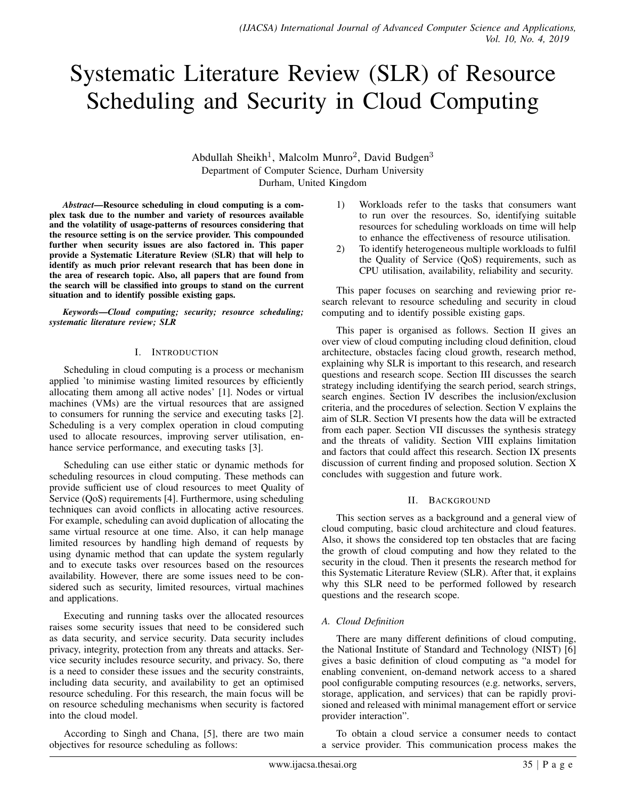# Systematic Literature Review (SLR) of Resource Scheduling and Security in Cloud Computing

Abdullah Sheikh<sup>1</sup>, Malcolm Munro<sup>2</sup>, David Budgen<sup>3</sup> Department of Computer Science, Durham University Durham, United Kingdom

*Abstract*—Resource scheduling in cloud computing is a complex task due to the number and variety of resources available and the volatility of usage-patterns of resources considering that the resource setting is on the service provider. This compounded further when security issues are also factored in. This paper provide a Systematic Literature Review (SLR) that will help to identify as much prior relevant research that has been done in the area of research topic. Also, all papers that are found from the search will be classified into groups to stand on the current situation and to identify possible existing gaps.

*Keywords*—*Cloud computing; security; resource scheduling; systematic literature review; SLR*

#### I. INTRODUCTION

Scheduling in cloud computing is a process or mechanism applied 'to minimise wasting limited resources by efficiently allocating them among all active nodes' [1]. Nodes or virtual machines (VMs) are the virtual resources that are assigned to consumers for running the service and executing tasks [2]. Scheduling is a very complex operation in cloud computing used to allocate resources, improving server utilisation, enhance service performance, and executing tasks [3].

Scheduling can use either static or dynamic methods for scheduling resources in cloud computing. These methods can provide sufficient use of cloud resources to meet Quality of Service (QoS) requirements [4]. Furthermore, using scheduling techniques can avoid conflicts in allocating active resources. For example, scheduling can avoid duplication of allocating the same virtual resource at one time. Also, it can help manage limited resources by handling high demand of requests by using dynamic method that can update the system regularly and to execute tasks over resources based on the resources availability. However, there are some issues need to be considered such as security, limited resources, virtual machines and applications.

Executing and running tasks over the allocated resources raises some security issues that need to be considered such as data security, and service security. Data security includes privacy, integrity, protection from any threats and attacks. Service security includes resource security, and privacy. So, there is a need to consider these issues and the security constraints, including data security, and availability to get an optimised resource scheduling. For this research, the main focus will be on resource scheduling mechanisms when security is factored into the cloud model.

According to Singh and Chana, [5], there are two main objectives for resource scheduling as follows:

- 1) Workloads refer to the tasks that consumers want to run over the resources. So, identifying suitable resources for scheduling workloads on time will help to enhance the effectiveness of resource utilisation.
- 2) To identify heterogeneous multiple workloads to fulfil the Quality of Service (QoS) requirements, such as CPU utilisation, availability, reliability and security.

This paper focuses on searching and reviewing prior research relevant to resource scheduling and security in cloud computing and to identify possible existing gaps.

This paper is organised as follows. Section II gives an over view of cloud computing including cloud definition, cloud architecture, obstacles facing cloud growth, research method, explaining why SLR is important to this research, and research questions and research scope. Section III discusses the search strategy including identifying the search period, search strings, search engines. Section IV describes the inclusion/exclusion criteria, and the procedures of selection. Section V explains the aim of SLR. Section VI presents how the data will be extracted from each paper. Section VII discusses the synthesis strategy and the threats of validity. Section VIII explains limitation and factors that could affect this research. Section IX presents discussion of current finding and proposed solution. Section X concludes with suggestion and future work.

#### II. BACKGROUND

This section serves as a background and a general view of cloud computing, basic cloud architecture and cloud features. Also, it shows the considered top ten obstacles that are facing the growth of cloud computing and how they related to the security in the cloud. Then it presents the research method for this Systematic Literature Review (SLR). After that, it explains why this SLR need to be performed followed by research questions and the research scope.

#### *A. Cloud Definition*

There are many different definitions of cloud computing, the National Institute of Standard and Technology (NIST) [6] gives a basic definition of cloud computing as "a model for enabling convenient, on-demand network access to a shared pool configurable computing resources (e.g. networks, servers, storage, application, and services) that can be rapidly provisioned and released with minimal management effort or service provider interaction".

To obtain a cloud service a consumer needs to contact a service provider. This communication process makes the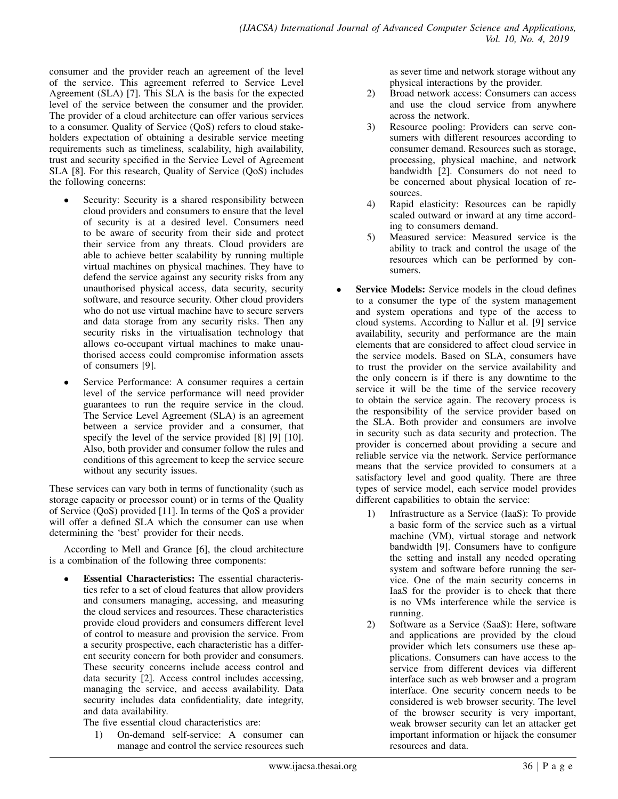consumer and the provider reach an agreement of the level of the service. This agreement referred to Service Level Agreement (SLA) [7]. This SLA is the basis for the expected level of the service between the consumer and the provider. The provider of a cloud architecture can offer various services to a consumer. Quality of Service (QoS) refers to cloud stakeholders expectation of obtaining a desirable service meeting requirements such as timeliness, scalability, high availability, trust and security specified in the Service Level of Agreement SLA [8]. For this research, Quality of Service (QoS) includes the following concerns:

- Security: Security is a shared responsibility between cloud providers and consumers to ensure that the level of security is at a desired level. Consumers need to be aware of security from their side and protect their service from any threats. Cloud providers are able to achieve better scalability by running multiple virtual machines on physical machines. They have to defend the service against any security risks from any unauthorised physical access, data security, security software, and resource security. Other cloud providers who do not use virtual machine have to secure servers and data storage from any security risks. Then any security risks in the virtualisation technology that allows co-occupant virtual machines to make unauthorised access could compromise information assets of consumers [9].
- Service Performance: A consumer requires a certain level of the service performance will need provider guarantees to run the require service in the cloud. The Service Level Agreement (SLA) is an agreement between a service provider and a consumer, that specify the level of the service provided [8] [9] [10]. Also, both provider and consumer follow the rules and conditions of this agreement to keep the service secure without any security issues.

These services can vary both in terms of functionality (such as storage capacity or processor count) or in terms of the Quality of Service (QoS) provided [11]. In terms of the QoS a provider will offer a defined SLA which the consumer can use when determining the 'best' provider for their needs.

According to Mell and Grance [6], the cloud architecture is a combination of the following three components:

**Essential Characteristics:** The essential characteristics refer to a set of cloud features that allow providers and consumers managing, accessing, and measuring the cloud services and resources. These characteristics provide cloud providers and consumers different level of control to measure and provision the service. From a security prospective, each characteristic has a different security concern for both provider and consumers. These security concerns include access control and data security [2]. Access control includes accessing, managing the service, and access availability. Data security includes data confidentiality, date integrity, and data availability.

The five essential cloud characteristics are:

1) On-demand self-service: A consumer can manage and control the service resources such as sever time and network storage without any physical interactions by the provider.

- 2) Broad network access: Consumers can access and use the cloud service from anywhere across the network.
- 3) Resource pooling: Providers can serve consumers with different resources according to consumer demand. Resources such as storage, processing, physical machine, and network bandwidth [2]. Consumers do not need to be concerned about physical location of resources.
- 4) Rapid elasticity: Resources can be rapidly scaled outward or inward at any time according to consumers demand.
- 5) Measured service: Measured service is the ability to track and control the usage of the resources which can be performed by consumers.
- **Service Models:** Service models in the cloud defines to a consumer the type of the system management and system operations and type of the access to cloud systems. According to Nallur et al. [9] service availability, security and performance are the main elements that are considered to affect cloud service in the service models. Based on SLA, consumers have to trust the provider on the service availability and the only concern is if there is any downtime to the service it will be the time of the service recovery to obtain the service again. The recovery process is the responsibility of the service provider based on the SLA. Both provider and consumers are involve in security such as data security and protection. The provider is concerned about providing a secure and reliable service via the network. Service performance means that the service provided to consumers at a satisfactory level and good quality. There are three types of service model, each service model provides different capabilities to obtain the service:
	- 1) Infrastructure as a Service (IaaS): To provide a basic form of the service such as a virtual machine (VM), virtual storage and network bandwidth [9]. Consumers have to configure the setting and install any needed operating system and software before running the service. One of the main security concerns in IaaS for the provider is to check that there is no VMs interference while the service is running.
	- 2) Software as a Service (SaaS): Here, software and applications are provided by the cloud provider which lets consumers use these applications. Consumers can have access to the service from different devices via different interface such as web browser and a program interface. One security concern needs to be considered is web browser security. The level of the browser security is very important, weak browser security can let an attacker get important information or hijack the consumer resources and data.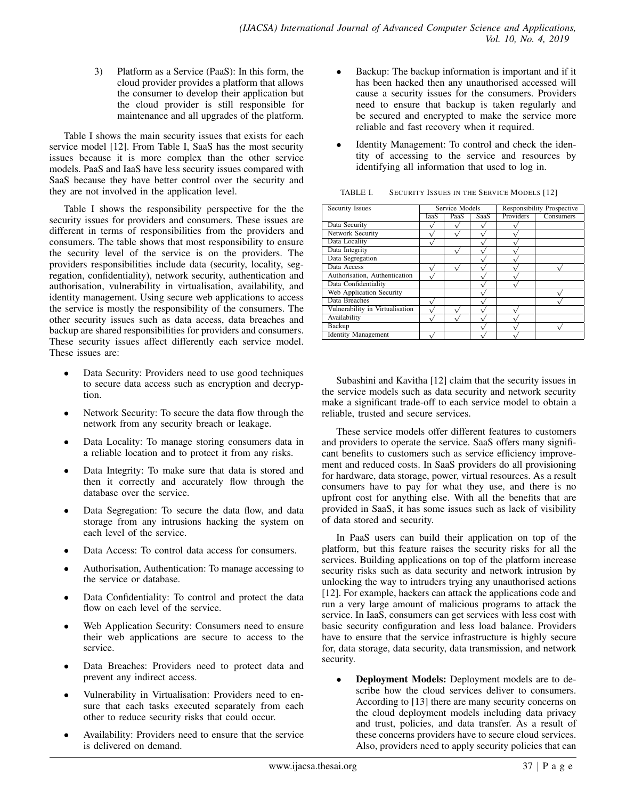3) Platform as a Service (PaaS): In this form, the cloud provider provides a platform that allows the consumer to develop their application but the cloud provider is still responsible for maintenance and all upgrades of the platform.

Table I shows the main security issues that exists for each service model [12]. From Table I, SaaS has the most security issues because it is more complex than the other service models. PaaS and IaaS have less security issues compared with SaaS because they have better control over the security and they are not involved in the application level.

Table I shows the responsibility perspective for the the security issues for providers and consumers. These issues are different in terms of responsibilities from the providers and consumers. The table shows that most responsibility to ensure the security level of the service is on the providers. The providers responsibilities include data (security, locality, segregation, confidentiality), network security, authentication and authorisation, vulnerability in virtualisation, availability, and identity management. Using secure web applications to access the service is mostly the responsibility of the consumers. The other security issues such as data access, data breaches and backup are shared responsibilities for providers and consumers. These security issues affect differently each service model. These issues are:

- Data Security: Providers need to use good techniques to secure data access such as encryption and decryption.
- Network Security: To secure the data flow through the network from any security breach or leakage.
- Data Locality: To manage storing consumers data in a reliable location and to protect it from any risks.
- Data Integrity: To make sure that data is stored and then it correctly and accurately flow through the database over the service.
- Data Segregation: To secure the data flow, and data storage from any intrusions hacking the system on each level of the service.
- Data Access: To control data access for consumers.
- Authorisation, Authentication: To manage accessing to the service or database.
- Data Confidentiality: To control and protect the data flow on each level of the service.
- Web Application Security: Consumers need to ensure their web applications are secure to access to the service.
- Data Breaches: Providers need to protect data and prevent any indirect access.
- Vulnerability in Virtualisation: Providers need to ensure that each tasks executed separately from each other to reduce security risks that could occur.
- Availability: Providers need to ensure that the service is delivered on demand.
- Backup: The backup information is important and if it has been hacked then any unauthorised accessed will cause a security issues for the consumers. Providers need to ensure that backup is taken regularly and be secured and encrypted to make the service more reliable and fast recovery when it required.
- Identity Management: To control and check the identity of accessing to the service and resources by identifying all information that used to log in.

| <b>SECURITY ISSUES IN THE SERVICE MODELS [12]</b><br>TABLE I. |  |
|---------------------------------------------------------------|--|
|---------------------------------------------------------------|--|

| Security Issues                 | <b>Service Models</b> |      |      | <b>Responsibility Prospective</b> |           |  |  |
|---------------------------------|-----------------------|------|------|-----------------------------------|-----------|--|--|
|                                 | JaaS                  | PaaS | SaaS | Providers                         | Consumers |  |  |
| Data Security                   |                       |      |      |                                   |           |  |  |
| Network Security                |                       |      |      |                                   |           |  |  |
| Data Locality                   |                       |      |      |                                   |           |  |  |
| Data Integrity                  |                       |      |      |                                   |           |  |  |
| Data Segregation                |                       |      |      |                                   |           |  |  |
| Data Access                     |                       |      |      |                                   |           |  |  |
| Authorisation, Authentication   |                       |      |      |                                   |           |  |  |
| Data Confidentiality            |                       |      |      |                                   |           |  |  |
| Web Application Security        |                       |      |      |                                   |           |  |  |
| Data Breaches                   |                       |      |      |                                   |           |  |  |
| Vulnerability in Virtualisation |                       |      |      |                                   |           |  |  |
| Availability                    |                       |      |      |                                   |           |  |  |
| Backup                          |                       |      |      |                                   |           |  |  |
| <b>Identity Management</b>      |                       |      |      |                                   |           |  |  |

Subashini and Kavitha [12] claim that the security issues in the service models such as data security and network security make a significant trade-off to each service model to obtain a reliable, trusted and secure services.

These service models offer different features to customers and providers to operate the service. SaaS offers many significant benefits to customers such as service efficiency improvement and reduced costs. In SaaS providers do all provisioning for hardware, data storage, power, virtual resources. As a result consumers have to pay for what they use, and there is no upfront cost for anything else. With all the benefits that are provided in SaaS, it has some issues such as lack of visibility of data stored and security.

In PaaS users can build their application on top of the platform, but this feature raises the security risks for all the services. Building applications on top of the platform increase security risks such as data security and network intrusion by unlocking the way to intruders trying any unauthorised actions [12]. For example, hackers can attack the applications code and run a very large amount of malicious programs to attack the service. In IaaS, consumers can get services with less cost with basic security configuration and less load balance. Providers have to ensure that the service infrastructure is highly secure for, data storage, data security, data transmission, and network security.

**Deployment Models:** Deployment models are to describe how the cloud services deliver to consumers. According to [13] there are many security concerns on the cloud deployment models including data privacy and trust, policies, and data transfer. As a result of these concerns providers have to secure cloud services. Also, providers need to apply security policies that can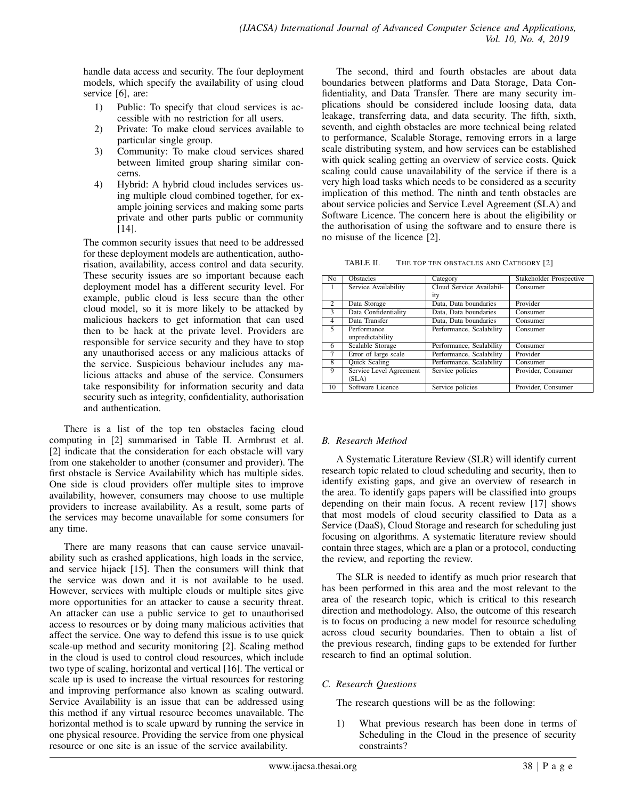handle data access and security. The four deployment models, which specify the availability of using cloud service [6], are:

- 1) Public: To specify that cloud services is accessible with no restriction for all users.
- 2) Private: To make cloud services available to particular single group.
- 3) Community: To make cloud services shared between limited group sharing similar concerns.
- 4) Hybrid: A hybrid cloud includes services using multiple cloud combined together, for example joining services and making some parts private and other parts public or community [14].

The common security issues that need to be addressed for these deployment models are authentication, authorisation, availability, access control and data security. These security issues are so important because each deployment model has a different security level. For example, public cloud is less secure than the other cloud model, so it is more likely to be attacked by malicious hackers to get information that can used then to be hack at the private level. Providers are responsible for service security and they have to stop any unauthorised access or any malicious attacks of the service. Suspicious behaviour includes any malicious attacks and abuse of the service. Consumers take responsibility for information security and data security such as integrity, confidentiality, authorisation and authentication.

There is a list of the top ten obstacles facing cloud computing in [2] summarised in Table II. Armbrust et al. [2] indicate that the consideration for each obstacle will vary from one stakeholder to another (consumer and provider). The first obstacle is Service Availability which has multiple sides. One side is cloud providers offer multiple sites to improve availability, however, consumers may choose to use multiple providers to increase availability. As a result, some parts of the services may become unavailable for some consumers for any time.

There are many reasons that can cause service unavailability such as crashed applications, high loads in the service, and service hijack [15]. Then the consumers will think that the service was down and it is not available to be used. However, services with multiple clouds or multiple sites give more opportunities for an attacker to cause a security threat. An attacker can use a public service to get to unauthorised access to resources or by doing many malicious activities that affect the service. One way to defend this issue is to use quick scale-up method and security monitoring [2]. Scaling method in the cloud is used to control cloud resources, which include two type of scaling, horizontal and vertical [16]. The vertical or scale up is used to increase the virtual resources for restoring and improving performance also known as scaling outward. Service Availability is an issue that can be addressed using this method if any virtual resource becomes unavailable. The horizontal method is to scale upward by running the service in one physical resource. Providing the service from one physical resource or one site is an issue of the service availability.

The second, third and fourth obstacles are about data boundaries between platforms and Data Storage, Data Confidentiality, and Data Transfer. There are many security implications should be considered include loosing data, data leakage, transferring data, and data security. The fifth, sixth, seventh, and eighth obstacles are more technical being related to performance, Scalable Storage, removing errors in a large scale distributing system, and how services can be established with quick scaling getting an overview of service costs. Quick scaling could cause unavailability of the service if there is a very high load tasks which needs to be considered as a security implication of this method. The ninth and tenth obstacles are about service policies and Service Level Agreement (SLA) and Software Licence. The concern here is about the eligibility or the authorisation of using the software and to ensure there is no misuse of the licence [2].

TABLE II. THE TOP TEN OBSTACLES AND CATEGORY [2]

| $\overline{No}$          | <b>Obstacles</b>        | Category                 | <b>Stakeholder Prospective</b> |
|--------------------------|-------------------------|--------------------------|--------------------------------|
|                          | Service Availability    | Cloud Service Availabil- | Consumer                       |
|                          |                         | ity                      |                                |
| $\overline{c}$           | Data Storage            | Data, Data boundaries    | Provider                       |
| $\overline{\mathcal{E}}$ | Data Confidentiality    | Data, Data boundaries    | Consumer                       |
| 4                        | Data Transfer           | Data, Data boundaries    | Consumer                       |
| 5                        | Performance             | Performance, Scalability | Consumer                       |
|                          | unpredictability        |                          |                                |
| 6                        | Scalable Storage        | Performance, Scalability | Consumer                       |
| 7                        | Error of large scale    | Performance, Scalability | Provider                       |
| 8                        | <b>Quick Scaling</b>    | Performance, Scalability | Consumer                       |
| 9                        | Service Level Agreement | Service policies         | Provider, Consumer             |
|                          | (SLA)                   |                          |                                |
| 10                       | Software Licence        | Service policies         | Provider, Consumer             |

# *B. Research Method*

A Systematic Literature Review (SLR) will identify current research topic related to cloud scheduling and security, then to identify existing gaps, and give an overview of research in the area. To identify gaps papers will be classified into groups depending on their main focus. A recent review [17] shows that most models of cloud security classified to Data as a Service (DaaS), Cloud Storage and research for scheduling just focusing on algorithms. A systematic literature review should contain three stages, which are a plan or a protocol, conducting the review, and reporting the review.

The SLR is needed to identify as much prior research that has been performed in this area and the most relevant to the area of the research topic, which is critical to this research direction and methodology. Also, the outcome of this research is to focus on producing a new model for resource scheduling across cloud security boundaries. Then to obtain a list of the previous research, finding gaps to be extended for further research to find an optimal solution.

# *C. Research Questions*

The research questions will be as the following:

1) What previous research has been done in terms of Scheduling in the Cloud in the presence of security constraints?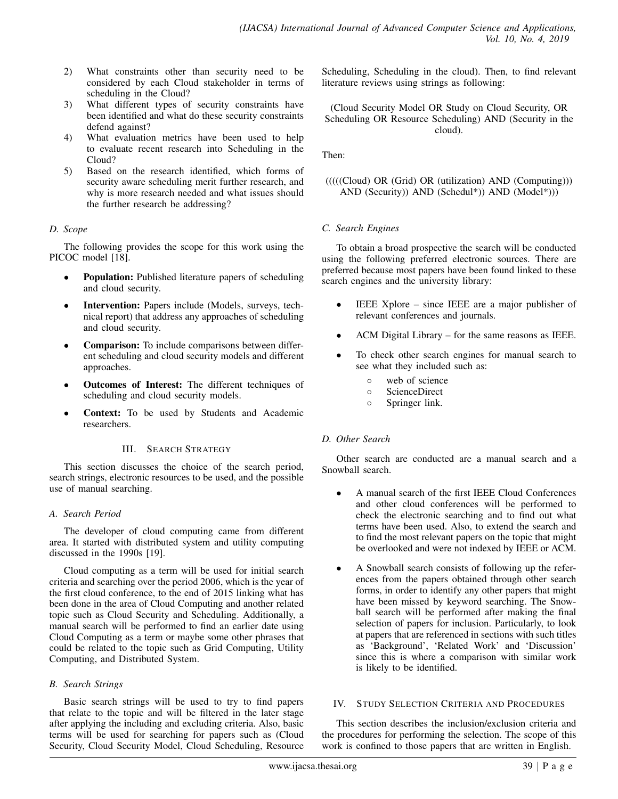- 2) What constraints other than security need to be considered by each Cloud stakeholder in terms of scheduling in the Cloud?
- 3) What different types of security constraints have been identified and what do these security constraints defend against?
- 4) What evaluation metrics have been used to help to evaluate recent research into Scheduling in the Cloud?
- 5) Based on the research identified, which forms of security aware scheduling merit further research, and why is more research needed and what issues should the further research be addressing?

# *D. Scope*

The following provides the scope for this work using the PICOC model [18].

- Population: Published literature papers of scheduling and cloud security.
- Intervention: Papers include (Models, surveys, technical report) that address any approaches of scheduling and cloud security.
- Comparison: To include comparisons between different scheduling and cloud security models and different approaches.
- Outcomes of Interest: The different techniques of scheduling and cloud security models.
- Context: To be used by Students and Academic researchers.

# III. SEARCH STRATEGY

This section discusses the choice of the search period, search strings, electronic resources to be used, and the possible use of manual searching.

# *A. Search Period*

The developer of cloud computing came from different area. It started with distributed system and utility computing discussed in the 1990s [19].

Cloud computing as a term will be used for initial search criteria and searching over the period 2006, which is the year of the first cloud conference, to the end of 2015 linking what has been done in the area of Cloud Computing and another related topic such as Cloud Security and Scheduling. Additionally, a manual search will be performed to find an earlier date using Cloud Computing as a term or maybe some other phrases that could be related to the topic such as Grid Computing, Utility Computing, and Distributed System.

# *B. Search Strings*

Basic search strings will be used to try to find papers that relate to the topic and will be filtered in the later stage after applying the including and excluding criteria. Also, basic terms will be used for searching for papers such as (Cloud Security, Cloud Security Model, Cloud Scheduling, Resource Scheduling, Scheduling in the cloud). Then, to find relevant literature reviews using strings as following:

(Cloud Security Model OR Study on Cloud Security, OR Scheduling OR Resource Scheduling) AND (Security in the cloud).

Then:

# $(((((Cloud) OR (Grid) OR (utilization) AND (Computing)))$ AND (Security)) AND (Schedul\*)) AND (Model\*)))

# *C. Search Engines*

To obtain a broad prospective the search will be conducted using the following preferred electronic sources. There are preferred because most papers have been found linked to these search engines and the university library:

- IEEE Xplore since IEEE are a major publisher of relevant conferences and journals.
- ACM Digital Library for the same reasons as IEEE.
- To check other search engines for manual search to see what they included such as:
	- web of science
	- ScienceDirect
	- Springer link.

# *D. Other Search*

Other search are conducted are a manual search and a Snowball search.

- A manual search of the first IEEE Cloud Conferences and other cloud conferences will be performed to check the electronic searching and to find out what terms have been used. Also, to extend the search and to find the most relevant papers on the topic that might be overlooked and were not indexed by IEEE or ACM.
- A Snowball search consists of following up the references from the papers obtained through other search forms, in order to identify any other papers that might have been missed by keyword searching. The Snowball search will be performed after making the final selection of papers for inclusion. Particularly, to look at papers that are referenced in sections with such titles as 'Background', 'Related Work' and 'Discussion' since this is where a comparison with similar work is likely to be identified.

# IV. STUDY SELECTION CRITERIA AND PROCEDURES

This section describes the inclusion/exclusion criteria and the procedures for performing the selection. The scope of this work is confined to those papers that are written in English.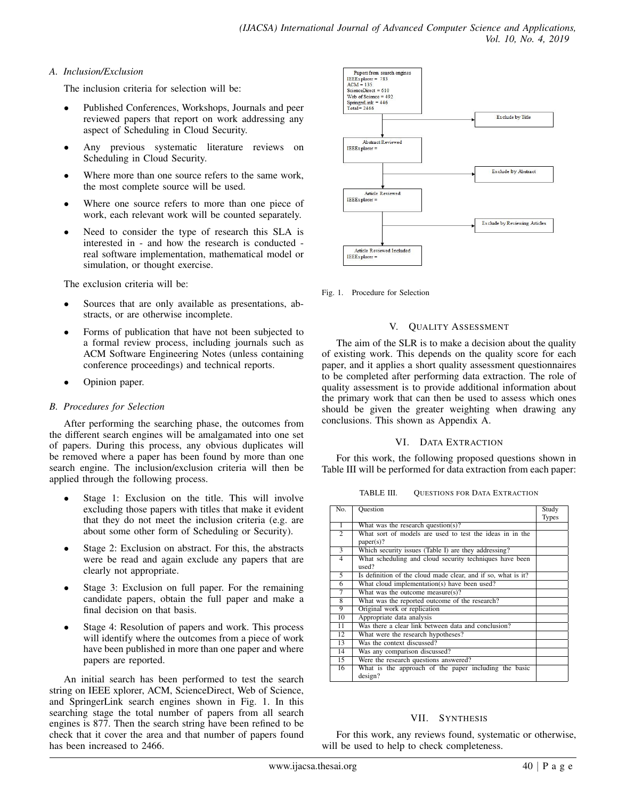# *A. Inclusion/Exclusion*

The inclusion criteria for selection will be:

- Published Conferences, Workshops, Journals and peer reviewed papers that report on work addressing any aspect of Scheduling in Cloud Security.
- Any previous systematic literature reviews on Scheduling in Cloud Security.
- Where more than one source refers to the same work, the most complete source will be used.
- Where one source refers to more than one piece of work, each relevant work will be counted separately.
- Need to consider the type of research this SLA is interested in - and how the research is conducted real software implementation, mathematical model or simulation, or thought exercise.

The exclusion criteria will be:

- Sources that are only available as presentations, abstracts, or are otherwise incomplete.
- Forms of publication that have not been subjected to a formal review process, including journals such as ACM Software Engineering Notes (unless containing conference proceedings) and technical reports.
- Opinion paper.

# *B. Procedures for Selection*

After performing the searching phase, the outcomes from the different search engines will be amalgamated into one set of papers. During this process, any obvious duplicates will be removed where a paper has been found by more than one search engine. The inclusion/exclusion criteria will then be applied through the following process.

- Stage 1: Exclusion on the title. This will involve excluding those papers with titles that make it evident that they do not meet the inclusion criteria (e.g. are about some other form of Scheduling or Security).
- Stage 2: Exclusion on abstract. For this, the abstracts were be read and again exclude any papers that are clearly not appropriate.
- Stage 3: Exclusion on full paper. For the remaining candidate papers, obtain the full paper and make a final decision on that basis.
- Stage 4: Resolution of papers and work. This process will identify where the outcomes from a piece of work have been published in more than one paper and where papers are reported.

An initial search has been performed to test the search string on IEEE xplorer, ACM, ScienceDirect, Web of Science, and SpringerLink search engines shown in Fig. 1. In this searching stage the total number of papers from all search engines is 877. Then the search string have been refined to be check that it cover the area and that number of papers found has been increased to 2466.



Fig. 1. Procedure for Selection

#### V. QUALITY ASSESSMENT

The aim of the SLR is to make a decision about the quality of existing work. This depends on the quality score for each paper, and it applies a short quality assessment questionnaires to be completed after performing data extraction. The role of quality assessment is to provide additional information about the primary work that can then be used to assess which ones should be given the greater weighting when drawing any conclusions. This shown as Appendix A.

# VI. DATA EXTRACTION

For this work, the following proposed questions shown in Table III will be performed for data extraction from each paper:

TABLE III. QUESTIONS FOR DATA EXTRACTION

| No.            | <b>Question</b>                                               | Study        |
|----------------|---------------------------------------------------------------|--------------|
|                |                                                               | <b>Types</b> |
| $\overline{1}$ | What was the research question(s)?                            |              |
| $\overline{2}$ | What sort of models are used to test the ideas in in the      |              |
|                | paper(s)?                                                     |              |
| 3              | Which security issues (Table I) are they addressing?          |              |
| $\overline{4}$ | What scheduling and cloud security techniques have been       |              |
|                | used?                                                         |              |
| 5              | Is definition of the cloud made clear, and if so, what is it? |              |
| 6              | What cloud implementation(s) have been used?                  |              |
| 7              | What was the outcome measure(s)?                              |              |
| 8              | What was the reported outcome of the research?                |              |
| 9              | Original work or replication                                  |              |
| 10             | Appropriate data analysis                                     |              |
| 11             | Was there a clear link between data and conclusion?           |              |
| 12             | What were the research hypotheses?                            |              |
| 13             | Was the context discussed?                                    |              |
| 14             | Was any comparison discussed?                                 |              |
| 15             | Were the research questions answered?                         |              |
| 16             | What is the approach of the paper including the basic         |              |
|                | design?                                                       |              |

#### VII. SYNTHESIS

For this work, any reviews found, systematic or otherwise, will be used to help to check completeness.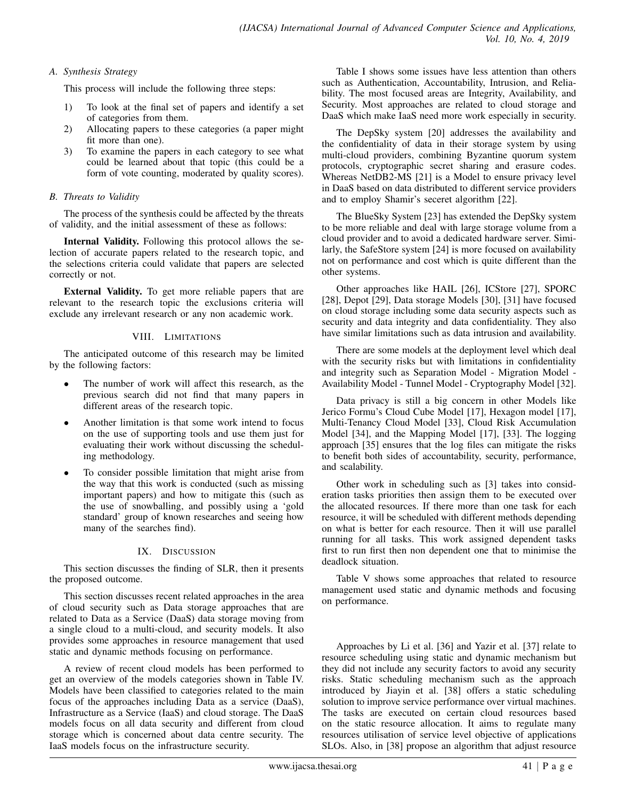#### *A. Synthesis Strategy*

This process will include the following three steps:

- 1) To look at the final set of papers and identify a set of categories from them.
- 2) Allocating papers to these categories (a paper might fit more than one).
- 3) To examine the papers in each category to see what could be learned about that topic (this could be a form of vote counting, moderated by quality scores).

# *B. Threats to Validity*

The process of the synthesis could be affected by the threats of validity, and the initial assessment of these as follows:

Internal Validity. Following this protocol allows the selection of accurate papers related to the research topic, and the selections criteria could validate that papers are selected correctly or not.

External Validity. To get more reliable papers that are relevant to the research topic the exclusions criteria will exclude any irrelevant research or any non academic work.

#### VIII. LIMITATIONS

The anticipated outcome of this research may be limited by the following factors:

- The number of work will affect this research, as the previous search did not find that many papers in different areas of the research topic.
- Another limitation is that some work intend to focus on the use of supporting tools and use them just for evaluating their work without discussing the scheduling methodology.
- To consider possible limitation that might arise from the way that this work is conducted (such as missing important papers) and how to mitigate this (such as the use of snowballing, and possibly using a 'gold standard' group of known researches and seeing how many of the searches find).

# IX. DISCUSSION

This section discusses the finding of SLR, then it presents the proposed outcome.

This section discusses recent related approaches in the area of cloud security such as Data storage approaches that are related to Data as a Service (DaaS) data storage moving from a single cloud to a multi-cloud, and security models. It also provides some approaches in resource management that used static and dynamic methods focusing on performance.

A review of recent cloud models has been performed to get an overview of the models categories shown in Table IV. Models have been classified to categories related to the main focus of the approaches including Data as a service (DaaS), Infrastructure as a Service (IaaS) and cloud storage. The DaaS models focus on all data security and different from cloud storage which is concerned about data centre security. The IaaS models focus on the infrastructure security.

Table I shows some issues have less attention than others such as Authentication, Accountability, Intrusion, and Reliability. The most focused areas are Integrity, Availability, and Security. Most approaches are related to cloud storage and DaaS which make IaaS need more work especially in security.

The DepSky system [20] addresses the availability and the confidentiality of data in their storage system by using multi-cloud providers, combining Byzantine quorum system protocols, cryptographic secret sharing and erasure codes. Whereas NetDB2-MS [21] is a Model to ensure privacy level in DaaS based on data distributed to different service providers and to employ Shamir's seceret algorithm [22].

The BlueSky System [23] has extended the DepSky system to be more reliable and deal with large storage volume from a cloud provider and to avoid a dedicated hardware server. Similarly, the SafeStore system [24] is more focused on availability not on performance and cost which is quite different than the other systems.

Other approaches like HAIL [26], ICStore [27], SPORC [28], Depot [29], Data storage Models [30], [31] have focused on cloud storage including some data security aspects such as security and data integrity and data confidentiality. They also have similar limitations such as data intrusion and availability.

There are some models at the deployment level which deal with the security risks but with limitations in confidentiality and integrity such as Separation Model - Migration Model - Availability Model - Tunnel Model - Cryptography Model [32].

Data privacy is still a big concern in other Models like Jerico Formu's Cloud Cube Model [17], Hexagon model [17], Multi-Tenancy Cloud Model [33], Cloud Risk Accumulation Model [34], and the Mapping Model [17], [33]. The logging approach [35] ensures that the log files can mitigate the risks to benefit both sides of accountability, security, performance, and scalability.

Other work in scheduling such as [3] takes into consideration tasks priorities then assign them to be executed over the allocated resources. If there more than one task for each resource, it will be scheduled with different methods depending on what is better for each resource. Then it will use parallel running for all tasks. This work assigned dependent tasks first to run first then non dependent one that to minimise the deadlock situation.

Table V shows some approaches that related to resource management used static and dynamic methods and focusing on performance.

Approaches by Li et al. [36] and Yazir et al. [37] relate to resource scheduling using static and dynamic mechanism but they did not include any security factors to avoid any security risks. Static scheduling mechanism such as the approach introduced by Jiayin et al. [38] offers a static scheduling solution to improve service performance over virtual machines. The tasks are executed on certain cloud resources based on the static resource allocation. It aims to regulate many resources utilisation of service level objective of applications SLOs. Also, in [38] propose an algorithm that adjust resource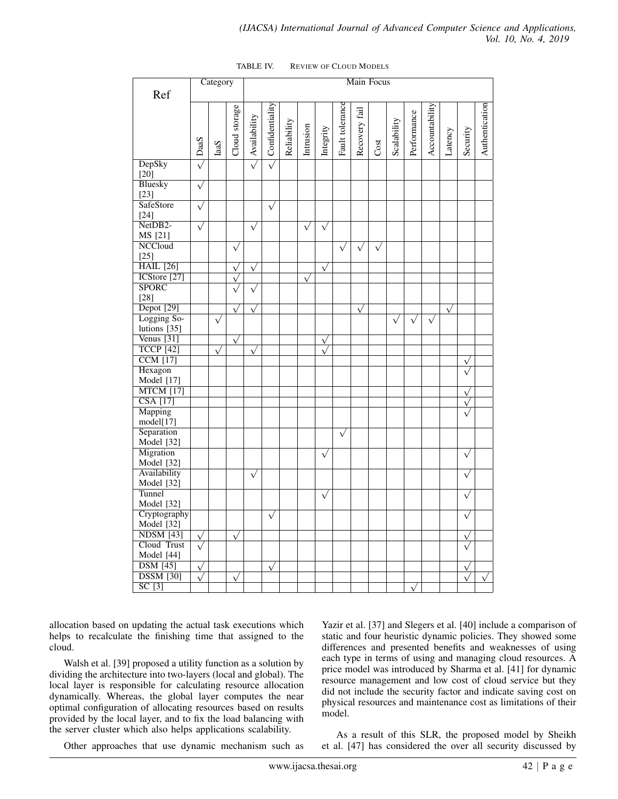|                             |                        | Category   |               | Main Focus               |                             |             |                       |                        |                 |               |           |             |             |                |           |                         |                |
|-----------------------------|------------------------|------------|---------------|--------------------------|-----------------------------|-------------|-----------------------|------------------------|-----------------|---------------|-----------|-------------|-------------|----------------|-----------|-------------------------|----------------|
| Ref                         |                        |            |               |                          |                             |             |                       |                        |                 |               |           |             |             |                |           |                         |                |
|                             |                        |            |               |                          |                             |             |                       |                        |                 |               |           |             |             |                |           |                         |                |
|                             |                        |            | Cloud storage |                          | $\triangle$ Confidentiality |             |                       |                        | Fault tolerance | Recovery fail |           |             | Performance | Accountability |           |                         | Authentication |
|                             |                        |            |               |                          |                             |             |                       |                        |                 |               |           |             |             |                |           |                         |                |
|                             |                        |            |               |                          |                             |             |                       |                        |                 |               |           |             |             |                |           |                         |                |
|                             | $\leq$ DaaS            | IaaS       |               | $\triangle$ Availability |                             | Reliability | Intrusion             | Integrity              |                 |               | Cost      | Scalability |             |                | Latency   | Security                |                |
| DepSky                      |                        |            |               |                          |                             |             |                       |                        |                 |               |           |             |             |                |           |                         |                |
| $[20]$                      |                        |            |               |                          |                             |             |                       |                        |                 |               |           |             |             |                |           |                         |                |
| <b>Bluesky</b>              | $\sqrt{}$              |            |               |                          |                             |             |                       |                        |                 |               |           |             |             |                |           |                         |                |
| $[23]$                      |                        |            |               |                          |                             |             |                       |                        |                 |               |           |             |             |                |           |                         |                |
| SafeStore                   | $\sqrt{}$              |            |               |                          | $\sqrt{}$                   |             |                       |                        |                 |               |           |             |             |                |           |                         |                |
| $[24]$                      |                        |            |               |                          |                             |             |                       |                        |                 |               |           |             |             |                |           |                         |                |
| NetDB2-                     | $\sqrt{}$              |            |               | $\sqrt{}$                |                             |             | $\overline{\sqrt{ }}$ | $\sqrt{}$              |                 |               |           |             |             |                |           |                         |                |
| MS [21]                     |                        |            |               |                          |                             |             |                       |                        |                 |               |           |             |             |                |           |                         |                |
| <b>NCCloud</b>              |                        |            | $\sqrt{}$     |                          |                             |             |                       |                        | $\sqrt{}$       | $\sqrt{2}$    | $\sqrt{}$ |             |             |                |           |                         |                |
| $[25]$                      |                        |            |               |                          |                             |             |                       |                        |                 |               |           |             |             |                |           |                         |                |
| <b>HAIL</b> [26]            |                        |            | $\sqrt{ }$    | $\sqrt{}$                |                             |             |                       | $\sqrt{}$              |                 |               |           |             |             |                |           |                         |                |
| ICStore <sup>[27]</sup>     |                        |            | $\sqrt{ }$    |                          |                             |             | $\sqrt{}$             |                        |                 |               |           |             |             |                |           |                         |                |
| <b>SPORC</b>                |                        |            |               | $\sqrt{}$                |                             |             |                       |                        |                 |               |           |             |             |                |           |                         |                |
| $[28]$                      |                        |            |               |                          |                             |             |                       |                        |                 |               |           |             |             |                |           |                         |                |
| Depot [29]                  |                        |            | $\sqrt{}$     | $\sqrt{}$                |                             |             |                       |                        |                 | $\sqrt{ }$    |           |             |             |                | $\sqrt{}$ |                         |                |
| Logging So-<br>lutions [35] |                        | $\sqrt{}$  |               |                          |                             |             |                       |                        |                 |               |           | $\sqrt{}$   | $\sqrt{}$   | $\sqrt{}$      |           |                         |                |
| Venus $[31]$                |                        |            |               |                          |                             |             |                       |                        |                 |               |           |             |             |                |           |                         |                |
| <b>TCCP</b> [42]            |                        | $\sqrt{ }$ | $\sqrt{}$     | $\sqrt{ }$               |                             |             |                       | $\sqrt{}$<br>$\sqrt{}$ |                 |               |           |             |             |                |           |                         |                |
| <b>CCM</b> [17]             |                        |            |               |                          |                             |             |                       |                        |                 |               |           |             |             |                |           | $\sqrt{}$               |                |
| Hexagon                     |                        |            |               |                          |                             |             |                       |                        |                 |               |           |             |             |                |           |                         |                |
| Model [17]                  |                        |            |               |                          |                             |             |                       |                        |                 |               |           |             |             |                |           |                         |                |
| <b>MTCM</b> [17]            |                        |            |               |                          |                             |             |                       |                        |                 |               |           |             |             |                |           | $\checkmark$            |                |
| <b>CSA</b> [17]             |                        |            |               |                          |                             |             |                       |                        |                 |               |           |             |             |                |           | $\checkmark$            |                |
| Mapping                     |                        |            |               |                          |                             |             |                       |                        |                 |               |           |             |             |                |           |                         |                |
| model[17]                   |                        |            |               |                          |                             |             |                       |                        |                 |               |           |             |             |                |           |                         |                |
| Separation                  |                        |            |               |                          |                             |             |                       |                        | $\sqrt{}$       |               |           |             |             |                |           |                         |                |
| Model [32]                  |                        |            |               |                          |                             |             |                       |                        |                 |               |           |             |             |                |           |                         |                |
| Migration                   |                        |            |               |                          |                             |             |                       | $\sqrt{}$              |                 |               |           |             |             |                |           | $\sqrt{}$               |                |
| Model [32]                  |                        |            |               |                          |                             |             |                       |                        |                 |               |           |             |             |                |           |                         |                |
| Availability                |                        |            |               | $\sqrt{}$                |                             |             |                       |                        |                 |               |           |             |             |                |           | $\sqrt{}$               |                |
| Model [32]                  |                        |            |               |                          |                             |             |                       |                        |                 |               |           |             |             |                |           |                         |                |
| Tunnel                      |                        |            |               |                          |                             |             |                       | $\sqrt{}$              |                 |               |           |             |             |                |           | $\checkmark$            |                |
| Model [32]                  |                        |            |               |                          |                             |             |                       |                        |                 |               |           |             |             |                |           |                         |                |
| Cryptography<br>Model [32]  |                        |            |               |                          | $\overline{\sqrt{ }}$       |             |                       |                        |                 |               |           |             |             |                |           | $\checkmark$            |                |
|                             |                        |            |               |                          |                             |             |                       |                        |                 |               |           |             |             |                |           |                         |                |
| $NDSM$ [43]<br>Cloud Trust  | $\sqrt{}$              |            | $\sqrt{}$     |                          |                             |             |                       |                        |                 |               |           |             |             |                |           |                         |                |
| Model [44]                  |                        |            |               |                          |                             |             |                       |                        |                 |               |           |             |             |                |           |                         |                |
| <b>DSM</b> [45]             |                        |            |               |                          |                             |             |                       |                        |                 |               |           |             |             |                |           |                         |                |
| <b>DSSM</b> [30]            | $\sqrt{}$<br>$\sqrt{}$ |            | $\sqrt{}$     |                          | $\sqrt{}$                   |             |                       |                        |                 |               |           |             |             |                |           | $\sqrt{ }$<br>$\sqrt{}$ |                |
| SC[3]                       |                        |            |               |                          |                             |             |                       |                        |                 |               |           |             |             |                |           |                         |                |
|                             |                        |            |               |                          |                             |             |                       |                        |                 |               |           |             | $\sqrt{}$   |                |           |                         |                |

| TABLE IV. | <b>REVIEW OF CLOUD MODELS</b> |  |
|-----------|-------------------------------|--|
|           |                               |  |

allocation based on updating the actual task executions which helps to recalculate the finishing time that assigned to the cloud.

Walsh et al. [39] proposed a utility function as a solution by dividing the architecture into two-layers (local and global). The local layer is responsible for calculating resource allocation dynamically. Whereas, the global layer computes the near optimal configuration of allocating resources based on results provided by the local layer, and to fix the load balancing with the server cluster which also helps applications scalability.

Yazir et al. [37] and Slegers et al. [40] include a comparison of static and four heuristic dynamic policies. They showed some differences and presented benefits and weaknesses of using each type in terms of using and managing cloud resources. A price model was introduced by Sharma et al. [41] for dynamic resource management and low cost of cloud service but they did not include the security factor and indicate saving cost on physical resources and maintenance cost as limitations of their model.

Other approaches that use dynamic mechanism such as

As a result of this SLR, the proposed model by Sheikh et al. [47] has considered the over all security discussed by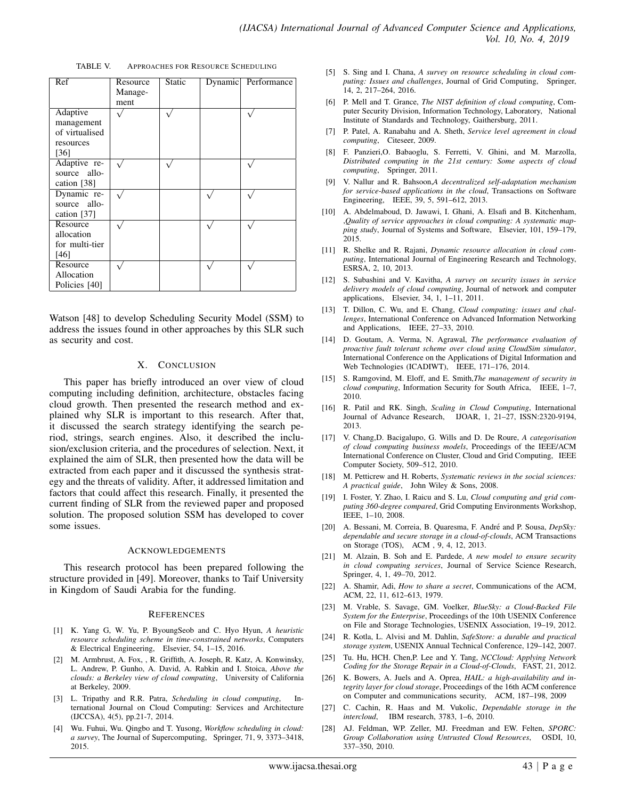| Ref                                                           | Resource<br>Manage-<br>ment | <b>Static</b> | Dynamic | Performance |
|---------------------------------------------------------------|-----------------------------|---------------|---------|-------------|
| Adaptive<br>management<br>of virtualised<br>resources<br>[36] |                             |               |         |             |
| Adaptive re-<br>source allo-<br>cation [38]                   |                             |               |         |             |
| Dynamic re-<br>source allo-<br>cation [37]                    |                             |               |         |             |
| Resource<br>allocation<br>for multi-tier<br>[46]              |                             |               |         |             |
| Resource<br>Allocation<br>Policies [40]                       |                             |               |         |             |

TABLE V. APPROACHES FOR RESOURCE SCHEDULING

Watson [48] to develop Scheduling Security Model (SSM) to address the issues found in other approaches by this SLR such as security and cost.

#### X. CONCLUSION

This paper has briefly introduced an over view of cloud computing including definition, architecture, obstacles facing cloud growth. Then presented the research method and explained why SLR is important to this research. After that, it discussed the search strategy identifying the search period, strings, search engines. Also, it described the inclusion/exclusion criteria, and the procedures of selection. Next, it explained the aim of SLR, then presented how the data will be extracted from each paper and it discussed the synthesis strategy and the threats of validity. After, it addressed limitation and factors that could affect this research. Finally, it presented the current finding of SLR from the reviewed paper and proposed solution. The proposed solution SSM has developed to cover some issues.

#### ACKNOWLEDGEMENTS

This research protocol has been prepared following the structure provided in [49]. Moreover, thanks to Taif University in Kingdom of Saudi Arabia for the funding.

#### **REFERENCES**

- [1] K. Yang G, W. Yu, P. ByoungSeob and C. Hyo Hyun, *A heuristic resource scheduling scheme in time-constrained networks*, Computers & Electrical Engineering, Elsevier, 54, 1–15, 2016.
- [2] M. Armbrust, A. Fox, , R. Griffith, A. Joseph, R. Katz, A. Konwinsky, L. Andrew, P. Gunho, A. David, A. Rabkin and I. Stoica, *Above the clouds: a Berkeley view of cloud computing*, University of California at Berkeley, 2009.
- [3] L. Tripathy and R.R. Patra, *Scheduling in cloud computing*, International Journal on Cloud Computing: Services and Architecture (IJCCSA), 4(5), pp.21-7, 2014.
- [4] Wu. Fuhui, Wu. Qingbo and T. Yusong, *Workflow scheduling in cloud: a survey*, The Journal of Supercomputing, Springer, 71, 9, 3373–3418, 2015.
- [5] S. Sing and I. Chana, *A survey on resource scheduling in cloud computing: Issues and challenges*, Journal of Grid Computing, Springer, 14, 2, 217–264, 2016.
- [6] P. Mell and T. Grance, *The NIST definition of cloud computing*, Computer Security Division, Information Technology, Laboratory, National Institute of Standards and Technology, Gaithersburg, 2011.
- [7] P. Patel, A. Ranabahu and A. Sheth, *Service level agreement in cloud computing*, Citeseer, 2009.
- [8] F. Panzieri,O. Babaoglu, S. Ferretti, V. Ghini, and M. Marzolla, *Distributed computing in the 21st century: Some aspects of cloud computing*, Springer, 2011.
- [9] V. Nallur and R. Bahsoon,*A decentralized self-adaptation mechanism for service-based applications in the cloud*, Transactions on Software Engineering, IEEE, 39, 5, 591–612, 2013.
- [10] A. Abdelmaboud, D. Jawawi, I. Ghani, A. Elsafi and B. Kitchenham, ,*Quality of service approaches in cloud computing: A systematic mapping study*, Journal of Systems and Software, Elsevier, 101, 159–179, 2015.
- [11] R. Shelke and R. Rajani, *Dynamic resource allocation in cloud computing*, International Journal of Engineering Research and Technology, ESRSA, 2, 10, 2013.
- [12] S. Subashini and V. Kavitha, *A survey on security issues in service delivery models of cloud computing*, Journal of network and computer applications, Elsevier, 34, 1, 1–11, 2011.
- [13] T. Dillon, C. Wu, and E. Chang, *Cloud computing: issues and challenges*, International Conference on Advanced Information Networking and Applications, IEEE, 27–33, 2010.
- [14] D. Goutam, A. Verma, N. Agrawal, *The performance evaluation of proactive fault tolerant scheme over cloud using CloudSim simulator*, International Conference on the Applications of Digital Information and Web Technologies (ICADIWT), IEEE, 171–176, 2014.
- [15] S. Ramgovind, M. Eloff, and E. Smith,*The management of security in cloud computing*, Information Security for South Africa, IEEE, 1–7, 2010.
- [16] R. Patil and RK. Singh, *Scaling in Cloud Computing*, International Journal of Advance Research, IJOAR, 1, 21–27, ISSN:2320-9194, 2013.
- [17] V. Chang,D. Bacigalupo, G. Wills and D. De Roure, *A categorisation of cloud computing business models*, Proceedings of the IEEE/ACM International Conference on Cluster, Cloud and Grid Computing, IEEE Computer Society, 509–512, 2010.
- [18] M. Petticrew and H. Roberts, *Systematic reviews in the social sciences: A practical guide*, John Wiley & Sons, 2008.
- [19] I. Foster, Y. Zhao, I. Raicu and S. Lu, *Cloud computing and grid computing 360-degree compared*, Grid Computing Environments Workshop, IEEE, 1–10, 2008.
- [20] A. Bessani, M. Correia, B. Quaresma, F. André and P. Sousa, DepSky: *dependable and secure storage in a cloud-of-clouds*, ACM Transactions on Storage (TOS), ACM , 9, 4, 12, 2013.
- [21] M. Alzain, B. Soh and E. Pardede, *A new model to ensure security in cloud computing services*, Journal of Service Science Research, Springer, 4, 1, 49–70, 2012.
- [22] A. Shamir, Adi, *How to share a secret*, Communications of the ACM, ACM, 22, 11, 612–613, 1979.
- [23] M. Vrable, S. Savage, GM. Voelker, *BlueSky: a Cloud-Backed File System for the Enterprise*, Proceedings of the 10th USENIX Conference on File and Storage Technologies, USENIX Association, 19–19, 2012.
- [24] R. Kotla, L. Alvisi and M. Dahlin, *SafeStore: a durable and practical storage system*, USENIX Annual Technical Conference, 129–142, 2007.
- [25] Tu. Hu, HCH. Chen,P. Lee and Y. Tang, *NCCloud: Applying Network Coding for the Storage Repair in a Cloud-of-Clouds*, FAST, 21, 2012.
- [26] K. Bowers, A. Juels and A. Oprea, *HAIL: a high-availability and integrity layer for cloud storage*, Proceedings of the 16th ACM conference on Computer and communications security, ACM, 187–198, 2009
- [27] C. Cachin, R. Haas and M. Vukolic, *Dependable storage in the intercloud*, IBM research, 3783, 1–6, 2010.
- [28] AJ. Feldman, WP. Zeller, MJ. Freedman and EW. Felten, *SPORC: Group Collaboration using Untrusted Cloud Resources*, OSDI, 10, 337–350, 2010.